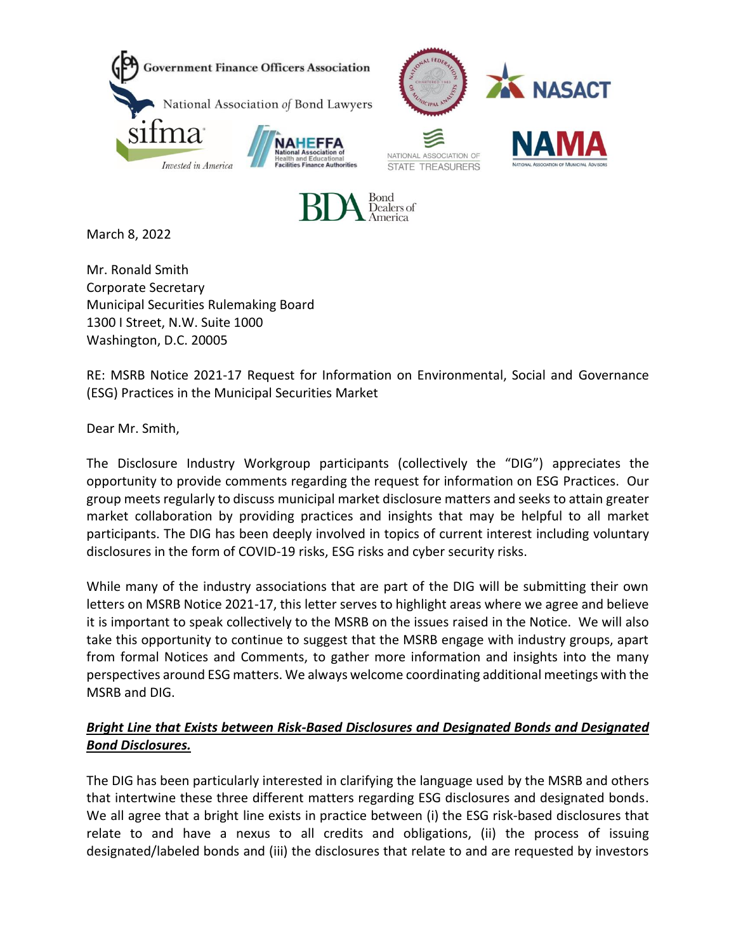





March 8, 2022

Mr. Ronald Smith Corporate Secretary Municipal Securities Rulemaking Board 1300 I Street, N.W. Suite 1000 Washington, D.C. 20005

RE: MSRB Notice 2021-17 Request for Information on Environmental, Social and Governance (ESG) Practices in the Municipal Securities Market

Dear Mr. Smith,

The Disclosure Industry Workgroup participants (collectively the "DIG") appreciates the opportunity to provide comments regarding the request for information on ESG Practices. Our group meets regularly to discuss municipal market disclosure matters and seeks to attain greater market collaboration by providing practices and insights that may be helpful to all market participants. The DIG has been deeply involved in topics of current interest including voluntary disclosures in the form of COVID-19 risks, ESG risks and cyber security risks.

While many of the industry associations that are part of the DIG will be submitting their own letters on MSRB Notice 2021-17, this letter serves to highlight areas where we agree and believe it is important to speak collectively to the MSRB on the issues raised in the Notice. We will also take this opportunity to continue to suggest that the MSRB engage with industry groups, apart from formal Notices and Comments, to gather more information and insights into the many perspectives around ESG matters. We always welcome coordinating additional meetings with the MSRB and DIG.

## *Bright Line that Exists between Risk-Based Disclosures and Designated Bonds and Designated Bond Disclosures.*

The DIG has been particularly interested in clarifying the language used by the MSRB and others that intertwine these three different matters regarding ESG disclosures and designated bonds. We all agree that a bright line exists in practice between (i) the ESG risk-based disclosures that relate to and have a nexus to all credits and obligations, (ii) the process of issuing designated/labeled bonds and (iii) the disclosures that relate to and are requested by investors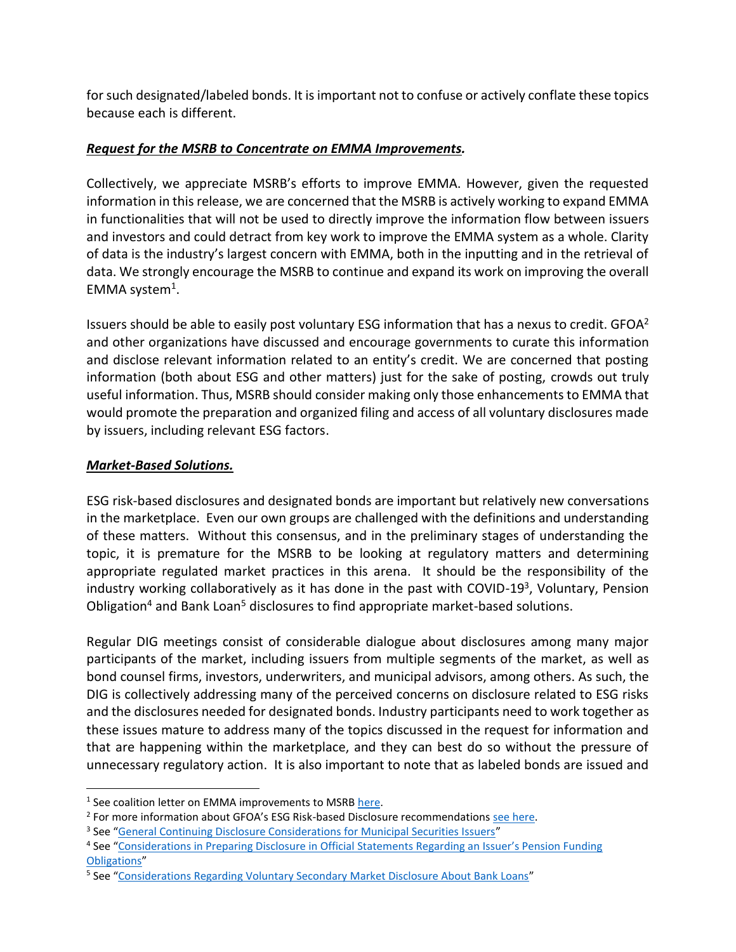for such designated/labeled bonds. It isimportant not to confuse or actively conflate these topics because each is different.

## *Request for the MSRB to Concentrate on EMMA Improvements.*

Collectively, we appreciate MSRB's efforts to improve EMMA. However, given the requested information in this release, we are concerned that the MSRB is actively working to expand EMMA in functionalities that will not be used to directly improve the information flow between issuers and investors and could detract from key work to improve the EMMA system as a whole. Clarity of data is the industry's largest concern with EMMA, both in the inputting and in the retrieval of data. We strongly encourage the MSRB to continue and expand its work on improving the overall EMMA system<sup>1</sup>.

Issuers should be able to easily post voluntary ESG information that has a nexus to credit.  $GFOA<sup>2</sup>$ and other organizations have discussed and encourage governments to curate this information and disclose relevant information related to an entity's credit. We are concerned that posting information (both about ESG and other matters) just for the sake of posting, crowds out truly useful information. Thus, MSRB should consider making only those enhancements to EMMA that would promote the preparation and organized filing and access of all voluntary disclosures made by issuers, including relevant ESG factors.

## *Market-Based Solutions.*

ESG risk-based disclosures and designated bonds are important but relatively new conversations in the marketplace. Even our own groups are challenged with the definitions and understanding of these matters. Without this consensus, and in the preliminary stages of understanding the topic, it is premature for the MSRB to be looking at regulatory matters and determining appropriate regulated market practices in this arena. It should be the responsibility of the industry working collaboratively as it has done in the past with COVID-19<sup>3</sup>, Voluntary, Pension Obligation<sup>4</sup> and Bank Loan<sup>5</sup> disclosures to find appropriate market-based solutions.

Regular DIG meetings consist of considerable dialogue about disclosures among many major participants of the market, including issuers from multiple segments of the market, as well as bond counsel firms, investors, underwriters, and municipal advisors, among others. As such, the DIG is collectively addressing many of the perceived concerns on disclosure related to ESG risks and the disclosures needed for designated bonds. Industry participants need to work together as these issues mature to address many of the topics discussed in the request for information and that are happening within the marketplace, and they can best do so without the pressure of unnecessary regulatory action. It is also important to note that as labeled bonds are issued and

<sup>&</sup>lt;sup>1</sup> See coalition letter on EMMA improvements to MSRB here.

<sup>&</sup>lt;sup>2</sup> For more information about GFOA's ESG Risk-based Disclosure recommendations <u>see here</u>.

<sup>&</sup>lt;sup>3</sup> See "General Continuing Disclosure Considerations for Municipal Securities Issuers"

<sup>&</sup>lt;sup>4</sup> See "Considerations in Preparing Disclosure in Official Statements Regarding an Issuer's Pension Funding Obligations"

<sup>&</sup>lt;sup>5</sup> See "Considerations Regarding Voluntary Secondary Market Disclosure About Bank Loans"